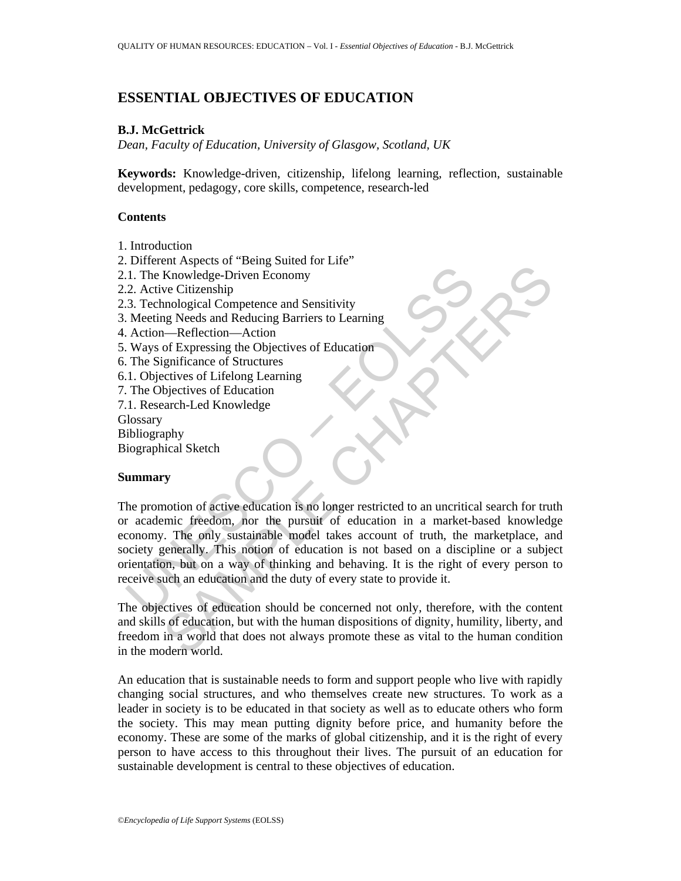# **ESSENTIAL OBJECTIVES OF EDUCATION**

# **B.J. McGettrick**

*Dean, Faculty of Education, University of Glasgow, Scotland, UK* 

**Keywords:** Knowledge-driven, citizenship, lifelong learning, reflection, sustainable development, pedagogy, core skills, competence, research-led

## **Contents**

- 1. Introduction
- 2. Different Aspects of "Being Suited for Life"
- 2.1. The Knowledge-Driven Economy
- 2.2. Active Citizenship
- 2.3. Technological Competence and Sensitivity
- 3. Meeting Needs and Reducing Barriers to Learning
- 4. Action—Reflection—Action
- 5. Ways of Expressing the Objectives of Education
- 6. The Significance of Structures
- 6.1. Objectives of Lifelong Learning
- 7. The Objectives of Education
- 7.1. Research-Led Knowledge
- **Glossary**
- Bibliography
- Biographical Sketch

## **Summary**

1. The Knowledge-Driven Economy<br>
2. Active Citizenship<br>
3. Technological Competence and Sensitivity<br>
Meeting Needs and Reducing Barriers to Learning<br>
Meeting Needs and Reducing Barriers to Learning<br>
1. Objectives of Litlen Manusleave of Education<br>
Exhausted Driven Economy<br>
we Citizenship<br>
we Citizenship<br>
modogical Competence and Sensitivity<br>
meg Needs and Reducing Barriers to Learning<br>
--Reflection—Action<br>
of Expressing the Objectives of Edu The promotion of active education is no longer restricted to an uncritical search for truth or academic freedom, nor the pursuit of education in a market-based knowledge economy. The only sustainable model takes account of truth, the marketplace, and society generally. This notion of education is not based on a discipline or a subject orientation, but on a way of thinking and behaving. It is the right of every person to receive such an education and the duty of every state to provide it.

The objectives of education should be concerned not only, therefore, with the content and skills of education, but with the human dispositions of dignity, humility, liberty, and freedom in a world that does not always promote these as vital to the human condition in the modern world.

An education that is sustainable needs to form and support people who live with rapidly changing social structures, and who themselves create new structures. To work as a leader in society is to be educated in that society as well as to educate others who form the society. This may mean putting dignity before price, and humanity before the economy. These are some of the marks of global citizenship, and it is the right of every person to have access to this throughout their lives. The pursuit of an education for sustainable development is central to these objectives of education.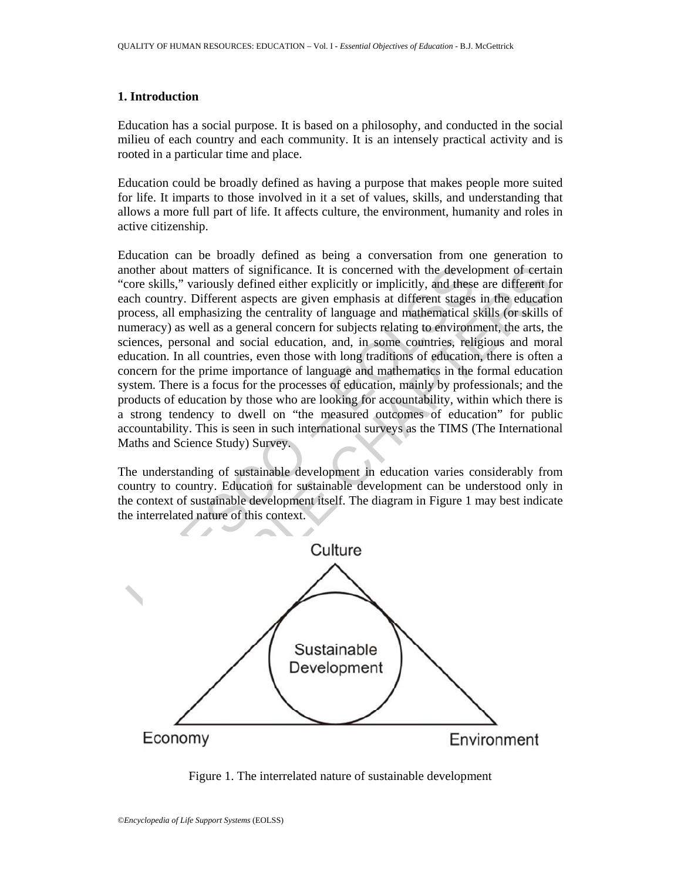## **1. Introduction**

Education has a social purpose. It is based on a philosophy, and conducted in the social milieu of each country and each community. It is an intensely practical activity and is rooted in a particular time and place.

Education could be broadly defined as having a purpose that makes people more suited for life. It imparts to those involved in it a set of values, skills, and understanding that allows a more full part of life. It affects culture, the environment, humanity and roles in active citizenship.

nother about matters of significance. It is concerned with the develometrally," variously defined either explicitly or implicitly, and these<br>conce skills," variously defined either explicitly or implicitly, and these<br>conce about matters of significance. It is concerned with the development of eertail<br>that," variously defined either explicitly or implicitly, and these are different from the<br>intry. Different aspects are given emphasias at diff Education can be broadly defined as being a conversation from one generation to another about matters of significance. It is concerned with the development of certain "core skills," variously defined either explicitly or implicitly, and these are different for each country. Different aspects are given emphasis at different stages in the education process, all emphasizing the centrality of language and mathematical skills (or skills of numeracy) as well as a general concern for subjects relating to environment, the arts, the sciences, personal and social education, and, in some countries, religious and moral education. In all countries, even those with long traditions of education, there is often a concern for the prime importance of language and mathematics in the formal education system. There is a focus for the processes of education, mainly by professionals; and the products of education by those who are looking for accountability, within which there is a strong tendency to dwell on "the measured outcomes of education" for public accountability. This is seen in such international surveys as the TIMS (The International Maths and Science Study) Survey.

The understanding of sustainable development in education varies considerably from country to country. Education for sustainable development can be understood only in the context of sustainable development itself. The diagram in Figure 1 may best indicate the interrelated nature of this context.



Figure 1. The interrelated nature of sustainable development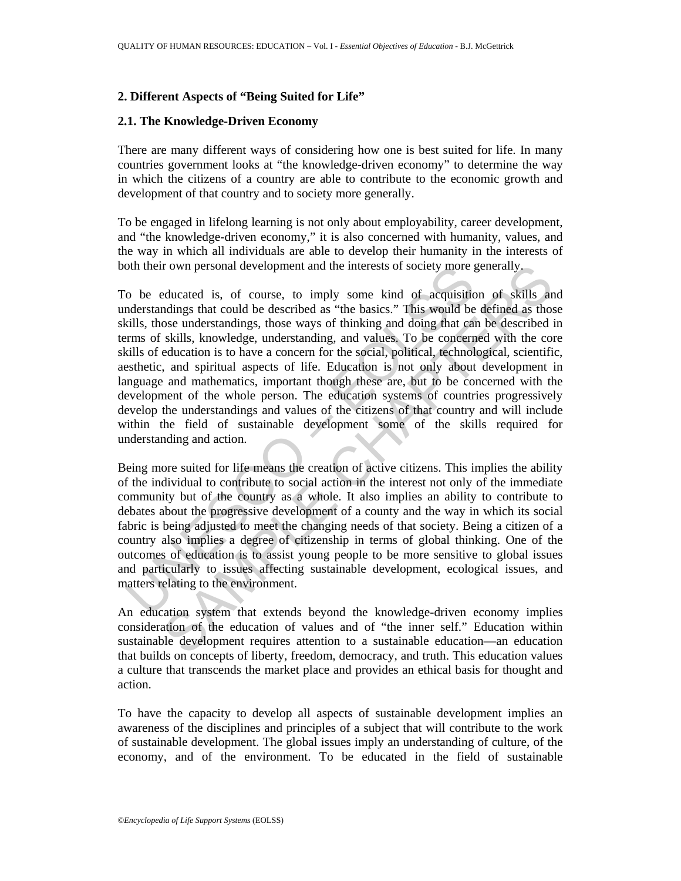# **2. Different Aspects of "Being Suited for Life"**

### **2.1. The Knowledge-Driven Economy**

There are many different ways of considering how one is best suited for life. In many countries government looks at "the knowledge-driven economy" to determine the way in which the citizens of a country are able to contribute to the economic growth and development of that country and to society more generally.

To be engaged in lifelong learning is not only about employability, career development, and "the knowledge-driven economy," it is also concerned with humanity, values, and the way in which all individuals are able to develop their humanity in the interests of both their own personal development and the interests of society more generally.

of their own personal development and the interests of society more g<br>o be educated is, of course, to imply some kind of acquisition<br>derstandings that could be described as "the basics." This would be<br>dills, those understa rown personal development and the interests of society more generally,<br>educated is, of course, to imply some kind of acquisition of skills and<br>olings that could be described as "the basics." This would be defined as those<br> To be educated is, of course, to imply some kind of acquisition of skills and understandings that could be described as "the basics." This would be defined as those skills, those understandings, those ways of thinking and doing that can be described in terms of skills, knowledge, understanding, and values. To be concerned with the core skills of education is to have a concern for the social, political, technological, scientific, aesthetic, and spiritual aspects of life. Education is not only about development in language and mathematics, important though these are, but to be concerned with the development of the whole person. The education systems of countries progressively develop the understandings and values of the citizens of that country and will include within the field of sustainable development some of the skills required for understanding and action.

Being more suited for life means the creation of active citizens. This implies the ability of the individual to contribute to social action in the interest not only of the immediate community but of the country as a whole. It also implies an ability to contribute to debates about the progressive development of a county and the way in which its social fabric is being adjusted to meet the changing needs of that society. Being a citizen of a country also implies a degree of citizenship in terms of global thinking. One of the outcomes of education is to assist young people to be more sensitive to global issues and particularly to issues affecting sustainable development, ecological issues, and matters relating to the environment.

An education system that extends beyond the knowledge-driven economy implies consideration of the education of values and of "the inner self." Education within sustainable development requires attention to a sustainable education—an education that builds on concepts of liberty, freedom, democracy, and truth. This education values a culture that transcends the market place and provides an ethical basis for thought and action.

To have the capacity to develop all aspects of sustainable development implies an awareness of the disciplines and principles of a subject that will contribute to the work of sustainable development. The global issues imply an understanding of culture, of the economy, and of the environment. To be educated in the field of sustainable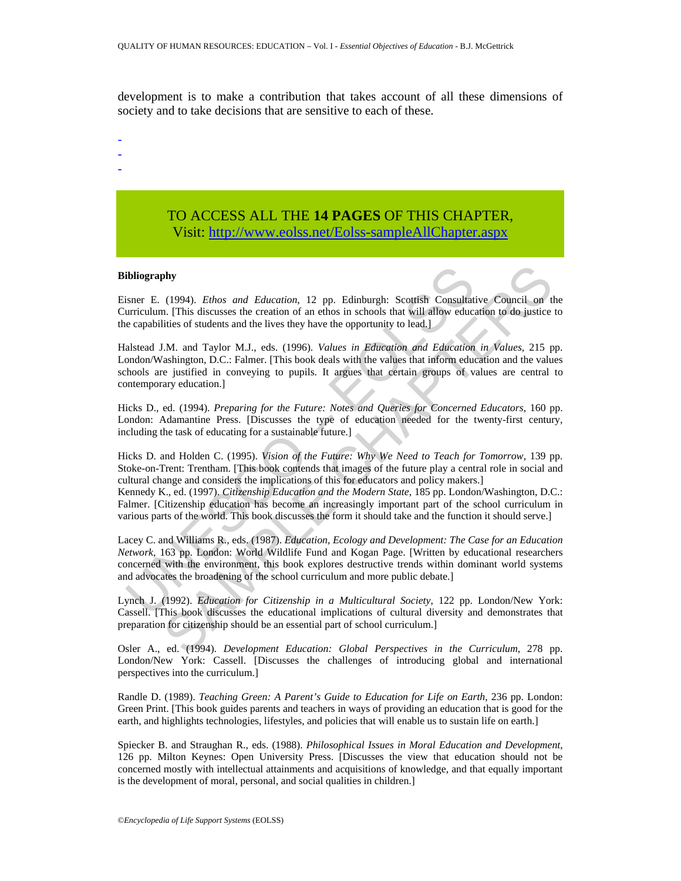development is to make a contribution that takes account of all these dimensions of society and to take decisions that are sensitive to each of these.

- -
- -
- -

# TO ACCESS ALL THE **14 PAGES** OF THIS CHAPTER, Visit[: http://www.eolss.net/Eolss-sampleAllChapter.aspx](https://www.eolss.net/ebooklib/sc_cart.aspx?File=E1-12-01-01)

#### **Bibliography**

Eisner E. (1994). *Ethos and Education*, 12 pp. Edinburgh: Scottish Consultative Council on the Curriculum. [This discusses the creation of an ethos in schools that will allow education to do justice to the capabilities of students and the lives they have the opportunity to lead.]

ibliography<br>
isher E. (1994). *Ethos and Education*, 12 pp. Edinburgh: Scottish Consultat<br>
urriculum. [This discusses the creation of an ethos in schools that will allow educe<br>
ce capabilities of students and the lives the **(1994).** *Ethos and Education*, 12 pp. Edinburgh: Scottish Consultative Council on the III in Initialisative Council on the III in Initialisative Council on the III in Initialisative Solutions of subsets the creation of Halstead J.M. and Taylor M.J., eds. (1996). *Values in Education and Education in Values*, 215 pp. London/Washington, D.C.: Falmer. [This book deals with the values that inform education and the values schools are justified in conveying to pupils. It argues that certain groups of values are central to contemporary education.]

Hicks D., ed. (1994). *Preparing for the Future: Notes and Queries for Concerned Educators*, 160 pp. London: Adamantine Press. [Discusses the type of education needed for the twenty-first century, including the task of educating for a sustainable future.

Hicks D. and Holden C. (1995). *Vision of the Future: Why We Need to Teach for Tomorrow*, 139 pp. Stoke-on-Trent: Trentham. [This book contends that images of the future play a central role in social and cultural change and considers the implications of this for educators and policy makers.] Kennedy K., ed. (1997). *Citizenship Education and the Modern State*, 185 pp. London/Washington, D.C.:

Falmer. [Citizenship education has become an increasingly important part of the school curriculum in various parts of the world. This book discusses the form it should take and the function it should serve.]

Lacey C. and Williams R., eds. (1987). *Education, Ecology and Development: The Case for an Education Network*, 163 pp. London: World Wildlife Fund and Kogan Page. [Written by educational researchers concerned with the environment, this book explores destructive trends within dominant world systems and advocates the broadening of the school curriculum and more public debate.]

Lynch J. (1992). *Education for Citizenship in a Multicultural Society*, 122 pp. London/New York: Cassell. [This book discusses the educational implications of cultural diversity and demonstrates that preparation for citizenship should be an essential part of school curriculum.]

Osler A., ed. (1994). *Development Education: Global Perspectives in the Curriculum*, 278 pp. London/New York: Cassell. [Discusses the challenges of introducing global and international perspectives into the curriculum.]

Randle D. (1989). *Teaching Green: A Parent's Guide to Education for Life on Earth*, 236 pp. London: Green Print. [This book guides parents and teachers in ways of providing an education that is good for the earth, and highlights technologies, lifestyles, and policies that will enable us to sustain life on earth.]

Spiecker B. and Straughan R., eds. (1988). *Philosophical Issues in Moral Education and Development*, 126 pp. Milton Keynes: Open University Press. [Discusses the view that education should not be concerned mostly with intellectual attainments and acquisitions of knowledge, and that equally important is the development of moral, personal, and social qualities in children.]